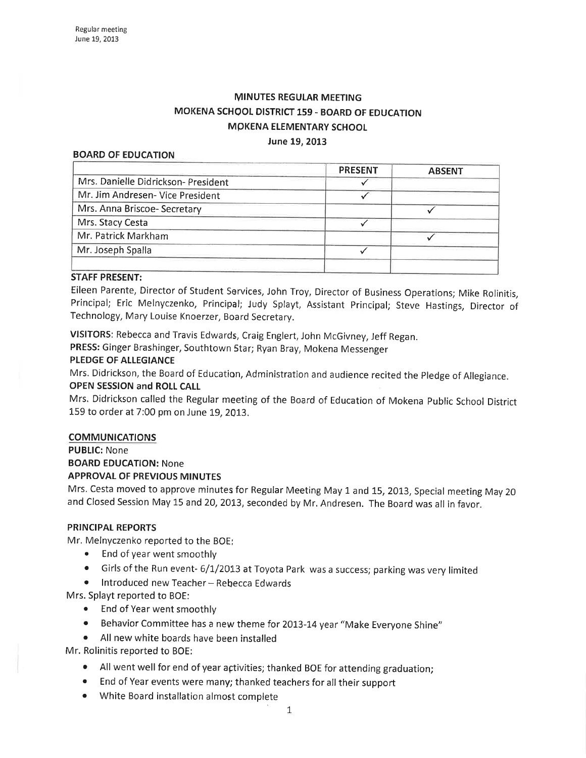# MINUTES REGULAR MEETING MOKENA SCHOOL DISTRICT 159 - BOARD OF EDUCATION MpKENA ELEMENTARY SCHOOL June 19,2013

#### BOARD OF EDUCATION

|                                     | <b>PRESENT</b> | <b>ABSENT</b> |
|-------------------------------------|----------------|---------------|
| Mrs. Danielle Didrickson- President |                |               |
| Mr. Jim Andresen- Vice President    |                |               |
| Mrs. Anna Briscoe-Secretary         |                |               |
| Mrs. Stacy Cesta                    |                |               |
| Mr. Patrick Markham                 |                |               |
| Mr. Joseph Spalla                   |                |               |
|                                     |                |               |

### STAFF PRESENT:

Eileen Parente, Director of Student Services, John Troy, Director of Business Operations; Mike Rolinitis, Principal; Eric Melnyczenko, Principal; Judy Splayt, Assistant Principal; Steve Hastings, Director of Technology, Mary Louise Knoerzer, Board Secretary.

VISITORS: Rebecca and Travis Edwards, Craig Englert, John McGivney, Jeff Regan.

PRESS: Ginger Brashinger, Southtown Star; Ryan Bray, Mokena Messenger

### PLEDGE OF ALLEGIANCE

Mrs. Didrickson, the Board of Education, Administration and audience recited the pledge of Allegiance. OPEN SESSION and ROLL CALL

Mrs. Didrickson called the Regular meeting of the Board of Education of Mokena Public School District 159 to order at 7:00 pm on June 19, 2013.

# COMMUNICATIONS

PUBLIC: None BOARD EDUCATION: None **APPROVAL OF PREVIOUS MINUTES** 

Mrs. Cesta moved to approve minutes for Regular Meeting May 1 and 15, 2013, Special meeting May <sup>20</sup> and Closed Session May 15 and 20, 2013, seconded by Mr. Andresen. The Board was all in favor.

#### PRINCIPAL REPORTS

Mr. Melnyczenko reported to the BOE;

- End of year went smoothly
- Girls of the Run event- 6/1/2013 at Toyota Park was a success; parking was very limited
- **•** Introduced new Teacher-Rebecca Edwards

Mrs. Splayt reported to BOE:

- End of Year went smoothly
- Behavior Committee has a new theme for 2013-14 year "Make Everyone Shine"
- o All new white boards have been installed

Mr. Rolinitis reported to BOE:

- . All went well for end of year açtivities; thanked BOE for attending graduation;
- End of Year events were many; thanked teachers for all their support
- o White Board installation almost complete